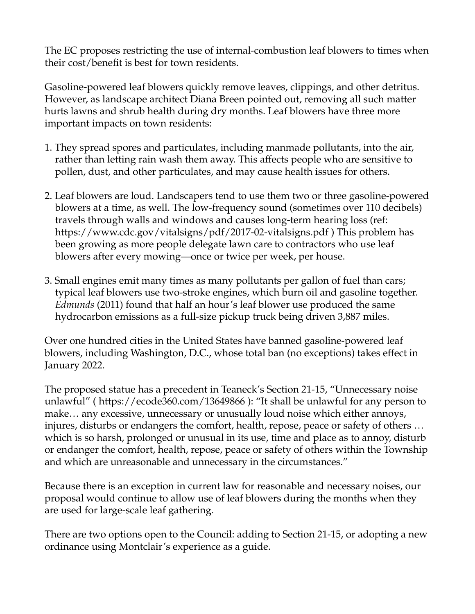The EC proposes restricting the use of internal-combustion leaf blowers to times when their cost/benefit is best for town residents.

Gasoline-powered leaf blowers quickly remove leaves, clippings, and other detritus. However, as landscape architect Diana Breen pointed out, removing all such matter hurts lawns and shrub health during dry months. Leaf blowers have three more important impacts on town residents:

- 1. They spread spores and particulates, including manmade pollutants, into the air, rather than letting rain wash them away. This affects people who are sensitive to pollen, dust, and other particulates, and may cause health issues for others.
- 2. Leaf blowers are loud. Landscapers tend to use them two or three gasoline-powered blowers at a time, as well. The low-frequency sound (sometimes over 110 decibels) travels through walls and windows and causes long-term hearing loss (ref: https://www.cdc.gov/vitalsigns/pdf/2017-02-vitalsigns.pdf ) This problem has been growing as more people delegate lawn care to contractors who use leaf blowers after every mowing—once or twice per week, per house.
- 3. Small engines emit many times as many pollutants per gallon of fuel than cars; typical leaf blowers use two-stroke engines, which burn oil and gasoline together. *Edmunds* (2011) found that half an hour's leaf blower use produced the same hydrocarbon emissions as a full-size pickup truck being driven 3,887 miles.

Over one hundred cities in the United States have banned gasoline-powered leaf blowers, including Washington, D.C., whose total ban (no exceptions) takes effect in January 2022.

The proposed statue has a precedent in Teaneck's Section 21-15, "Unnecessary noise unlawful" ( https://ecode360.com/13649866 ): "It shall be unlawful for any person to make… any excessive, unnecessary or unusually loud noise which either annoys, injures, disturbs or endangers the comfort, health, repose, peace or safety of others … which is so harsh, prolonged or unusual in its use, time and place as to annoy, disturb or endanger the comfort, health, repose, peace or safety of others within the Township and which are unreasonable and unnecessary in the circumstances."

Because there is an exception in current law for reasonable and necessary noises, our proposal would continue to allow use of leaf blowers during the months when they are used for large-scale leaf gathering.

There are two options open to the Council: adding to Section 21-15, or adopting a new ordinance using Montclair's experience as a guide.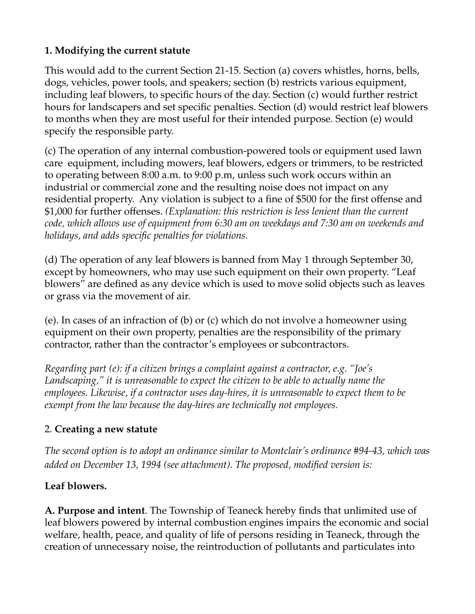## **1. Modifying the current statute**

This would add to the current Section 21-15. Section (a) covers whistles, horns, bells, dogs, vehicles, power tools, and speakers; section (b) restricts various equipment, including leaf blowers, to specific hours of the day. Section (c) would further restrict hours for landscapers and set specific penalties. Section (d) would restrict leaf blowers to months when they are most useful for their intended purpose. Section (e) would specify the responsible party.

(c) The operation of any internal combustion-powered tools or equipment used lawn care equipment, including mowers, leaf blowers, edgers or trimmers, to be restricted to operating between 8:00 a.m. to 9:00 p.m, unless such work occurs within an industrial or commercial zone and the resulting noise does not impact on any residential property. Any violation is subject to a fine of \$500 for the first offense and \$1,000 for further offenses. *(Explanation: this restriction is less lenient than the current code, which allows use of equipment from 6:30 am on weekdays and 7:30 am on weekends and holidays, and adds specific penalties for violations.*

(d) The operation of any leaf blowers is banned from May 1 through September 30, except by homeowners, who may use such equipment on their own property. "Leaf blowers" are defined as any device which is used to move solid objects such as leaves or grass via the movement of air.

(e). In cases of an infraction of (b) or (c) which do not involve a homeowner using equipment on their own property, penalties are the responsibility of the primary contractor, rather than the contractor's employees or subcontractors.

*Regarding part (e): if a citizen brings a complaint against a contractor, e.g. "Joe's Landscaping," it is unreasonable to expect the citizen to be able to actually name the employees. Likewise, if a contractor uses day-hires, it is unreasonable to expect them to be exempt from the law because the day-hires are technically not employees.*

## 2. **Creating a new statute**

*The second option is to adopt an ordinance similar to Montclair's ordinance #94-43, which was added on December 13, 1994 (see attachment). The proposed, modified version is:*

## **Leaf blowers.**

**A. Purpose and intent**. The Township of Teaneck hereby finds that unlimited use of leaf blowers powered by internal combustion engines impairs the economic and social welfare, health, peace, and quality of life of persons residing in Teaneck, through the creation of unnecessary noise, the reintroduction of pollutants and particulates into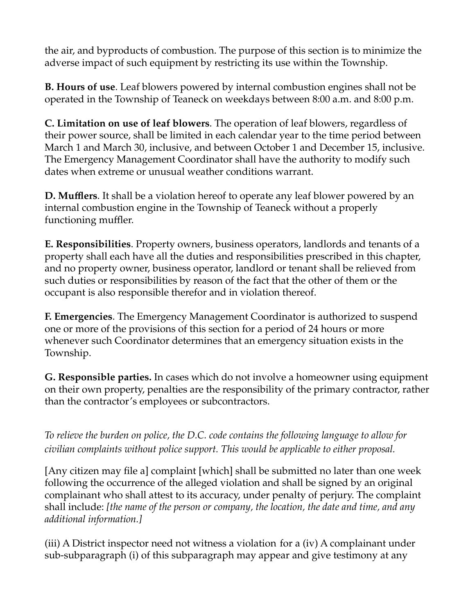the air, and byproducts of combustion. The purpose of this section is to minimize the adverse impact of such equipment by restricting its use within the Township.

**B. Hours of use**. Leaf blowers powered by internal combustion engines shall not be operated in the Township of Teaneck on weekdays between 8:00 a.m. and 8:00 p.m.

**C. Limitation on use of leaf blowers**. The operation of leaf blowers, regardless of their power source, shall be limited in each calendar year to the time period between March 1 and March 30, inclusive, and between October 1 and December 15, inclusive. The Emergency Management Coordinator shall have the authority to modify such dates when extreme or unusual weather conditions warrant.

**D. Mufflers**. It shall be a violation hereof to operate any leaf blower powered by an internal combustion engine in the Township of Teaneck without a properly functioning muffler.

**E. Responsibilities**. Property owners, business operators, landlords and tenants of a property shall each have all the duties and responsibilities prescribed in this chapter, and no property owner, business operator, landlord or tenant shall be relieved from such duties or responsibilities by reason of the fact that the other of them or the occupant is also responsible therefor and in violation thereof.

**F. Emergencies**. The Emergency Management Coordinator is authorized to suspend one or more of the provisions of this section for a period of 24 hours or more whenever such Coordinator determines that an emergency situation exists in the Township.

**G. Responsible parties.** In cases which do not involve a homeowner using equipment on their own property, penalties are the responsibility of the primary contractor, rather than the contractor's employees or subcontractors.

*To relieve the burden on police, the D.C. code contains the following language to allow for civilian complaints without police support. This would be applicable to either proposal.*

[Any citizen may file a] complaint [which] shall be submitted no later than one week following the occurrence of the alleged violation and shall be signed by an original complainant who shall attest to its accuracy, under penalty of perjury. The complaint shall include: *[the name of the person or company, the location, the date and time, and any additional information.]*

(iii) A District inspector need not witness a violation for a (iv) A complainant under sub-subparagraph (i) of this subparagraph may appear and give testimony at any